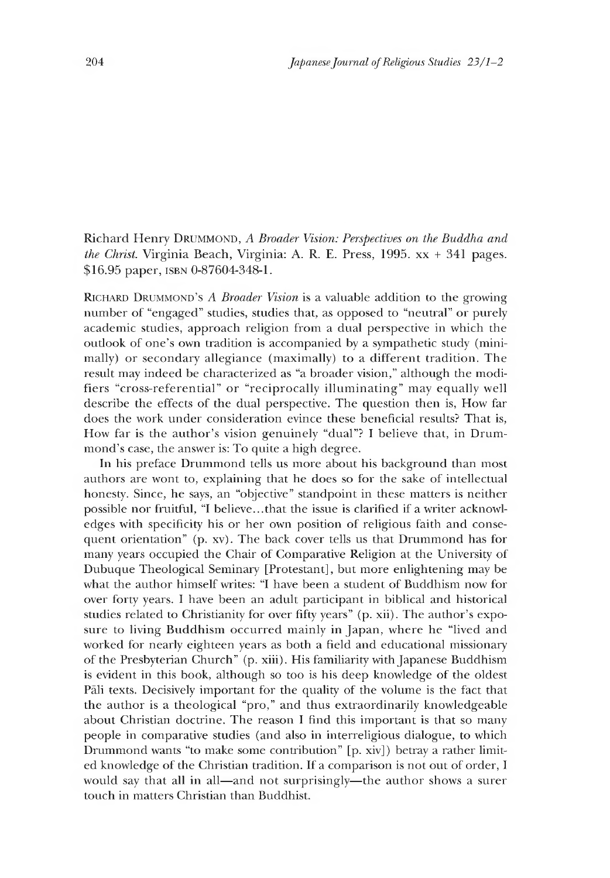Richard Henry **Drummond,** *A Broader Vision: Perspectives on the Buddha and the Christ.* Virginia Beach, Virginia: A. R. E. Press, 1995. xx + 341 pages. \$16.95 paper, **isbn** 0-87604-348-1.

**Richard Drummond's** *A Broader Vision* **is a valuable addition to the growing** number of "engaged" studies, studies that, as opposed to "neutral" or purely academic studies, approach religion from a dual perspective in which the outlook of one's own tradition is accompanied by a sympathetic study (minimally) or secondary allegiance (maximally) to a different tradition. The result may indeed be characterized as "a broader vision," although the modifiers "cross-referential" or "reciprocally illuminating" may equally well describe the effects of the dual perspective. The question then is, How far does the work under consideration evince these beneficial results? That is, How far is the author's vision genuinely "dual"? I believe that, in Drummond's case, the answer is: To quite a high degree.

In his preface Drummond tells us more about his background than most authors are wont to, explaining that he does so for the sake of intellectual honesty. Since, he says, an "objective" standpoint in these matters is neither possible nor fruitful, "I believe...that the issue is clarified if a writer acknowledges with specificity his or her own position of religious faith and consequent orientation" (p. xv). The back cover tells us that Drummond has for many years occupied the Chair of Comparative Religion at the University of Dubuque Theological Seminary [Protestant], but more enlightening may be what the author himself writes: "I have been a student of Buddhism now for over forty years. I have been an adult participant in biblical and historical studies related to Christianity for over fifty years" (p. xii). The author's exposure to living Buddhism occurred mainly in Japan, where he "lived and worked for nearly eighteen years as both a field and educational missionary of the Presbyterian Church" (p. xiii). His familiarity with Japanese Buddhism is evident in this book, although so too is his deep knowledge of the oldest Pali texts. Decisively important for the quality of the volume is the fact that the author is a theological "pro," and thus extraordinarily knowledgeable about Christian doctrine. The reason I find this important is that so many people in comparative studies (and also in interreligious dialogue, to which Drummond wants "to make some contribution" [p. xiv]) betray a rather limited knowledge of the Christian tradition. If a comparison is not out of order, I would say that all in all—and not surprisingly—the author shows a surer touch in matters Christian than Buddhist.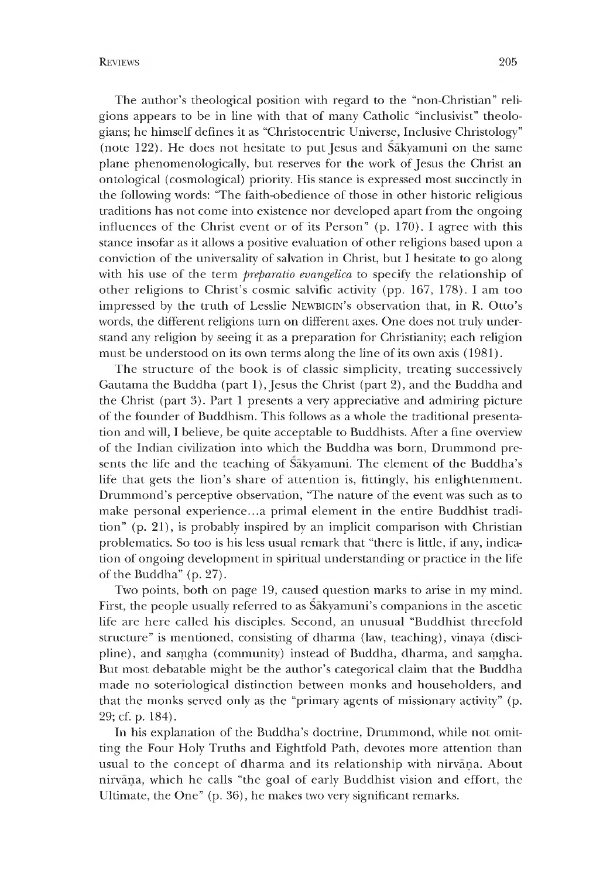The author's theological position with regard to the "non-Christian" religions appears to be in line with that of many Catholic "inclusivist" theologians; he himself defines it as "Christocentric Universe, Inclusive Christology" (note 122). He does not hesitate to put Jesus and Sakyamuni on the same plane phenomenologically, but reserves for the work of Jesus the Christ an ontological (cosmological) priority. His stance is expressed most succinctly in the following words: "The faith-obedience of those in other historic religious traditions has not come into existence nor developed apart from the ongoing influences of the Christ event or of its Person" (p. 170). I agree with this stance insofar as it allows a positive evaluation of other religions based upon a conviction of the universality of salvation in Christ, but I hesitate to go along with his use of the term *preparatio evangelica* to specify the relationship of other religions to Christ's cosmic salvific activity (pp. 167, 178). I am too **impressed by the truth of Lesslie Newbigin's observation that, in** R. **O tto's** words, the different religions turn on different axes. One does not truly understand any religion by seeing it as a preparation for Christianity; each religion must be understood on its own terms along the line of its own axis (1981).

The structure of the book is of classic simplicity, treating successively Gautama the Buddha (part 1), Jesus the Christ (part 2), and the Buddha and the Christ (part 3). Part 1 presents a very appreciative and admiring picture of the founder of Buddhism. This follows as a whole the traditional presentation and will,I believe, be quite acceptable to Buddhists. After a fine overview of the Indian civilization into which the Buddha was born, Drummond presents the life and the teaching of Sakyamuni. The element of the Buddha's life that gets the lion's share of attention is, fittingly, his enlightenment. Drummond's perceptive observation, "The nature of the event was such as to make personal experience...a primal element in the entire Buddhist tradition" (p. 21), is probably inspired by an implicit comparison with Christian problematics. So too is his less usual remark that "there is little, if any, indication of ongoing development in spiritual understanding or practice in the life of the Buddha" (p. 27).

Two points, both on page 19, caused question marks to arise in my mind. First, the people usually referred to as  $\tilde{\text{S}a}$  kyamuni's companions in the ascetic life are here called his disciples. Second, an unusual "Buddhist threefold structure" is mentioned, consisting of dharma (law, teaching), vinaya (discipline), and saṃgha (community) instead of Buddha, dharma, and saṃgha. But most debatable might be the author's categorical claim that the Buddha made no sotenological distinction between monks and householders, and that the monks served only as the "primary agents of missionary activity" (p. 29; cf. p. 184).

In his explanation of the Buddha's doctrine, Drummond, while not omitting the Four Holy Truths and Eightfold Path, devotes more attention than usual to the concept of dharma and its relationship with nirvana. About nirvana, which he calls "the goal of early Buddhist vision and effort, the Ultimate, the One"  $(p. 36)$ , he makes two very significant remarks.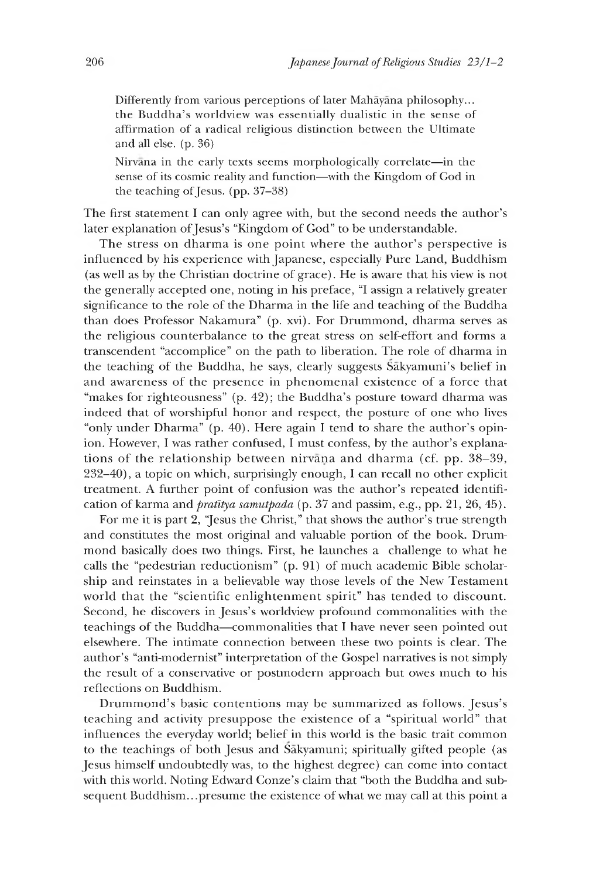Differently from various perceptions of later Mahayana philosophy... the Buddha's worldview was essentially dualistic in the sense of affirmation of a radical religious distinction between the Ultimate and all else. (p. 36)

Nirvana in the early texts seems morphologically correlate—in the sense of its cosmic reality and function—with the Kingdom of God in the teaching of Jesus. (pp. 37-38)

The first statement I can only agree with, but the second needs the author's later explanation of Jesus's "Kingdom of God" to be understandable.

The stress on dharma is one point where the author's perspective is influenced by his experience with Japanese, especially Pure Land, Buddhism (as well as by the Christian doctrine of grace). He is aware that his view is not the generally accepted one, noting in his preface, "I assign a relatively greater significance to the role of the Dharma in the life and teaching of the Buddha than does Professor Nakamura" (p. xvi). For Drummond, dharma serves as the religious counterbalance to the great stress on self-effort and forms a transcendent "accomplice" on the path to liberation. The role of dharma in the teaching of the Buddha, he says, clearly suggests  $\tilde{\text{S}a}$  kyamuni's belief in and awareness of the presence in phenomenal existence of a force that "makes for righteousness" (p. 42); the Buddha's posture toward dharma was indeed that of worshipful honor and respect, the posture of one who lives "only under Dharma" (p. 40). Here again I tend to share the author's opinion. However, I was rather confused, I must confess, by the author's explanations of the relationship between nirvana and dharma (cf. pp. 38-39, 232-40), a topic on which, surprisingly enough, I can recall no other explicit treatment. A further point of confusion was the author's repeated identification of karma and *pratitya samutpada* (p. 37 and passim, e.g., pp. 21, 26, 45).

For me it is part 2, "Jesus the Christ," that shows the author's true strength and constitutes the most original and valuable portion of the book. Drummond basically does two things. First, he launches a challenge to what he calls the "pedestrian reductionism" (p. 91) of much academic Bible scholarship and reinstates in a believable way those levels of the New Testament world that the "scientific enlightenment spirit" has tended to discount. Second, he discovers in Jesus's worldview profound commonalities with the teachings of the Buddha—commonalities that I have never seen pointed out elsewhere. The intimate connection between these two points is clear. The author's "anti-modernist" interpretation of the Gospel narratives is not simply the result of a conservative or postmodern approach but owes much to his reflections on Buddhism.

Drummond's basic contentions may be summarized as follows. Jesus's teaching and activity presuppose the existence of a "spiritual world" that influences the everyday world; belief in this world is the basic trait common to the teachings of both Jesus and Sakyamuni; spiritually gifted people (as Jesus himself undoubtedly was, to the highest degree) can come into contact with this world. Noting Edward Conze's claim that "both the Buddha and subsequent Buddhism.. .presume the existence of what we may call at this point a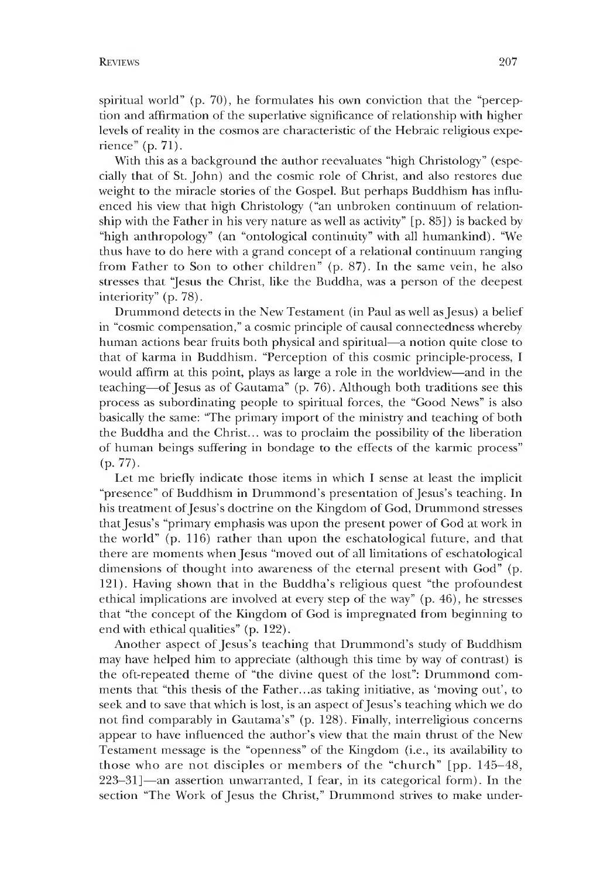spiritual world"  $(p, 70)$ , he formulates his own conviction that the "perception and affirmation of the superlative significance of relationship with higher levels of reality in the cosmos are characteristic of the Hebraic religious experience" (p.  $71$ ).

With this as a background the author reevaluates "high Christology" (especially that of St. John) and the cosmic role of Christ, and also restores due weight to the miracle stories of the Gospel. But perhaps Buddhism has influenced his view that nigh Christology ("an unbroken continuum of relationship with the Father in his very nature as well as activity" [p. 85]) is backed by "high anthropology" (an "ontological continuity" with all humankind). "We thus have to do here with a grand concept of a relational continuum ranging from Father to Son to other children" (p. 87). In the same vein, he also stresses that "Jesus the Christ, like the Buddha, was a person of the deepest interiority" (p. 78).

Drummond detects in the New Testament (in Paul as well as Jesus) a belief in "cosmic compensation," a cosmic principle of causal connectedness whereby human actions bear fruits both physical and spiritual—a notion quite close to that of karma in Buddhism. "Perception of this cosmic principle-process, I would affirm at this point, plays as large a role in the worldview—and in the teaching— of Jesus as of Gautama" (p. 76). Although both traditions see this process as subordinating people to spiritual forces, the "Good News" is also basically the same: "The primary import of the ministry and teaching of both the Buddha and the Christ... was to proclaim the possibility of the liberation of human beings suffering in bondage to the effects of the karmic process"  $(p. 77)$ .

Let me briefly indicate those items in which I sense at least the implicit "presence" of Buddhism in Drummond's presentation of Jesus's teaching. In his treatment of Jesus's doctrine on the Kingdom of God, Drummond stresses that Jesus's "primary emphasis was upon the present power of God at work in the world" (p. 116) rather than upon the eschatological future, and that there are moments when Jesus "moved out of all limitations of eschatological dimensions of thought into awareness of the eternal present with God" (p. 121). Having shown that in the Buddha's religious quest "the profoundest ethical implications are involved at every step of the way" (p. 46), he stresses that "the concept of the Kingdom of God is impregnated from beginning to end with ethical qualities" (p. 122).

Another aspect of Jesus's teaching that Drummond's study of Buddhism may have helped him to appreciate (although this time by way of contrast) is the oft-repeated theme of "the divine quest of the lost": Drummond comments that "this thesis of the Father...as taking initiative, as 'moving out', to seek and to save that which is lost, is an aspect of Jesus's teaching which we do not find comparably in Gautama's" (p. 128). Finally, interreligious concerns appear to have influenced the author's view that the main thrust of the New Testament message is the "openness" of the Kingdom (i.e., its availability to those who are not disciples or members of the "church" [pp. 145-48, 223-31]— an assertion unwarranted, I fear, in its categorical form). In the section "The Work of Jesus the Christ," Drummond strives to make under